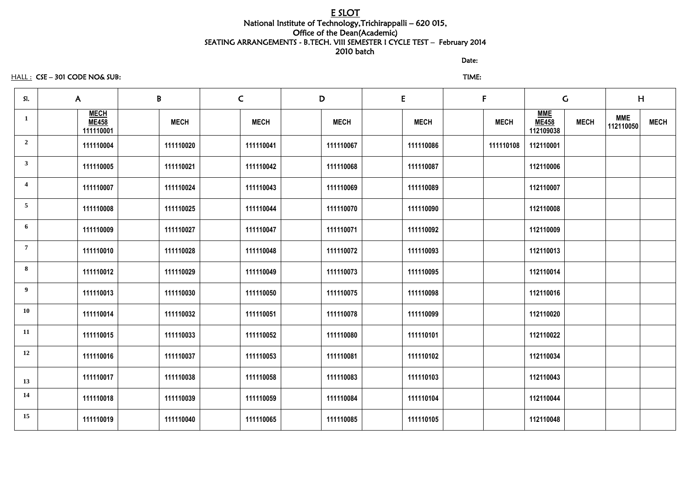# E SLOT National Institute of Technology,Trichirappalli – 620 015, Office of the Dean(Academic) SEATING ARRANGEMENTS - B.TECH. VIII SEMESTER I CYCLE TEST – February 2014 2010 batch

discussion of the contract of the contract of the Date:

HALL : CSE – 301 CODE NO& SUB: TIME:

| SI.            | $\mathsf{A}$                             | B |             | $\mathsf{C}$ |             | D           | E           | $\mathsf{F}$ | $\mathsf C$                             |             | H                       |             |
|----------------|------------------------------------------|---|-------------|--------------|-------------|-------------|-------------|--------------|-----------------------------------------|-------------|-------------------------|-------------|
|                | <b>MECH</b><br><b>ME458</b><br>111110001 |   | <b>MECH</b> |              | <b>MECH</b> | <b>MECH</b> | <b>MECH</b> | <b>MECH</b>  | <b>MME</b><br><b>ME458</b><br>112109038 | <b>MECH</b> | <b>MME</b><br>112110050 | <b>MECH</b> |
| $\overline{2}$ | 111110004                                |   | 111110020   |              | 111110041   | 111110067   | 111110086   | 111110108    | 112110001                               |             |                         |             |
| $\mathbf{3}$   | 111110005                                |   | 111110021   |              | 111110042   | 111110068   | 111110087   |              | 112110006                               |             |                         |             |
| 4              | 111110007                                |   | 111110024   |              | 111110043   | 111110069   | 111110089   |              | 112110007                               |             |                         |             |
| 5              | 111110008                                |   | 111110025   |              | 111110044   | 111110070   | 111110090   |              | 112110008                               |             |                         |             |
| 6              | 111110009                                |   | 111110027   |              | 111110047   | 111110071   | 111110092   |              | 112110009                               |             |                         |             |
| $\overline{7}$ | 111110010                                |   | 111110028   |              | 111110048   | 111110072   | 111110093   |              | 112110013                               |             |                         |             |
| 8              | 111110012                                |   | 111110029   |              | 111110049   | 111110073   | 111110095   |              | 112110014                               |             |                         |             |
| $9^{\circ}$    | 111110013                                |   | 111110030   |              | 111110050   | 111110075   | 111110098   |              | 112110016                               |             |                         |             |
| <b>10</b>      | 111110014                                |   | 111110032   |              | 111110051   | 111110078   | 111110099   |              | 112110020                               |             |                         |             |
| 11             | 111110015                                |   | 111110033   |              | 111110052   | 111110080   | 111110101   |              | 112110022                               |             |                         |             |
| 12             | 111110016                                |   | 111110037   |              | 111110053   | 111110081   | 111110102   |              | 112110034                               |             |                         |             |
| 13             | 111110017                                |   | 111110038   |              | 111110058   | 111110083   | 111110103   |              | 112110043                               |             |                         |             |
| 14             | 111110018                                |   | 111110039   |              | 111110059   | 111110084   | 111110104   |              | 112110044                               |             |                         |             |
| 15             | 111110019                                |   | 111110040   |              | 111110065   | 111110085   | 111110105   |              | 112110048                               |             |                         |             |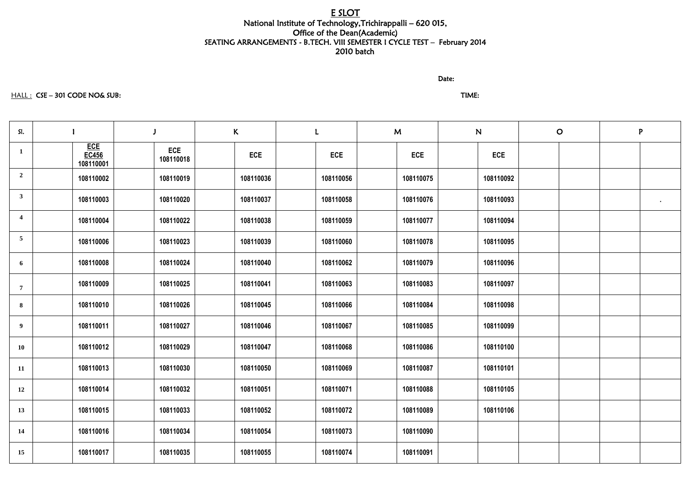# E SLOT National Institute of Technology,Trichirappalli – 620 015, Office of the Dean(Academic) SEATING ARRANGEMENTS - B.TECH. VIII SEMESTER I CYCLE TEST – February 2014 2010 batch

#### discussion of the contract of the contract of the Date:

#### HALL : CSE – 301 CODE NO& SUB: TIME:

| SI.                     |                                         |                         | K |            | L          | M          | ${\bf N}$ |            | $\mathbf O$ | P |              |
|-------------------------|-----------------------------------------|-------------------------|---|------------|------------|------------|-----------|------------|-------------|---|--------------|
|                         | <b>ECE</b><br><b>EC456</b><br>108110001 | <b>ECE</b><br>108110018 |   | <b>ECE</b> | <b>ECE</b> | <b>ECE</b> |           | <b>ECE</b> |             |   |              |
| $\overline{2}$          | 108110002                               | 108110019               |   | 108110036  | 108110056  | 108110075  |           | 108110092  |             |   |              |
| $\mathbf{3}$            | 108110003                               | 108110020               |   | 108110037  | 108110058  | 108110076  |           | 108110093  |             |   | $\mathbf{H}$ |
| $\overline{\mathbf{4}}$ | 108110004                               | 108110022               |   | 108110038  | 108110059  | 108110077  |           | 108110094  |             |   |              |
| $\overline{5}$          | 108110006                               | 108110023               |   | 108110039  | 108110060  | 108110078  |           | 108110095  |             |   |              |
| 6                       | 108110008                               | 108110024               |   | 108110040  | 108110062  | 108110079  |           | 108110096  |             |   |              |
| $\overline{7}$          | 108110009                               | 108110025               |   | 108110041  | 108110063  | 108110083  |           | 108110097  |             |   |              |
| 8                       | 108110010                               | 108110026               |   | 108110045  | 108110066  | 108110084  |           | 108110098  |             |   |              |
| $\boldsymbol{9}$        | 108110011                               | 108110027               |   | 108110046  | 108110067  | 108110085  |           | 108110099  |             |   |              |
| <b>10</b>               | 108110012                               | 108110029               |   | 108110047  | 108110068  | 108110086  |           | 108110100  |             |   |              |
| 11                      | 108110013                               | 108110030               |   | 108110050  | 108110069  | 108110087  |           | 108110101  |             |   |              |
| 12                      | 108110014                               | 108110032               |   | 108110051  | 108110071  | 108110088  |           | 108110105  |             |   |              |
| 13                      | 108110015                               | 108110033               |   | 108110052  | 108110072  | 108110089  |           | 108110106  |             |   |              |
| 14                      | 108110016                               | 108110034               |   | 108110054  | 108110073  | 108110090  |           |            |             |   |              |
| 15                      | 108110017                               | 108110035               |   | 108110055  | 108110074  | 108110091  |           |            |             |   |              |